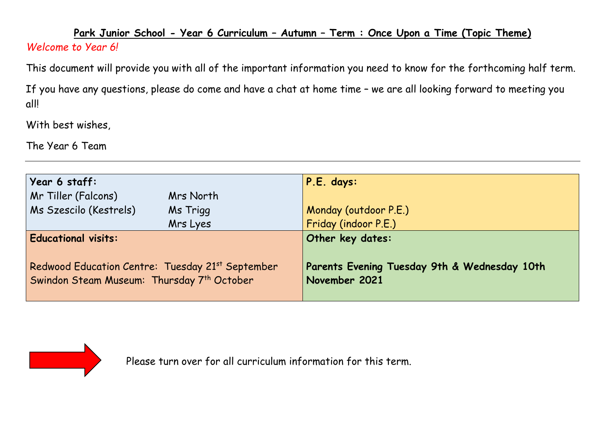## **Park Junior School - Year 6 Curriculum – Autumn – Term : Once Upon a Time (Topic Theme)**  *Welcome to Year 6!*

This document will provide you with all of the important information you need to know for the forthcoming half term.

If you have any questions, please do come and have a chat at home time – we are all looking forward to meeting you all!

With best wishes,

The Year 6 Team

| Year 6 staff:                                                                                  |           | P.E. days:                                                    |  |  |
|------------------------------------------------------------------------------------------------|-----------|---------------------------------------------------------------|--|--|
| Mr Tiller (Falcons)                                                                            | Mrs North |                                                               |  |  |
| Ms Szescilo (Kestrels)                                                                         | Ms Trigg  | Monday (outdoor P.E.)                                         |  |  |
|                                                                                                | Mrs Lyes  | Friday (indoor P.E.)                                          |  |  |
| <b>Educational visits:</b>                                                                     |           | Other key dates:                                              |  |  |
| Redwood Education Centre: Tuesday 21st September<br>Swindon Steam Museum: Thursday 7th October |           | Parents Evening Tuesday 9th & Wednesday 10th<br>November 2021 |  |  |



Please turn over for all curriculum information for this term.